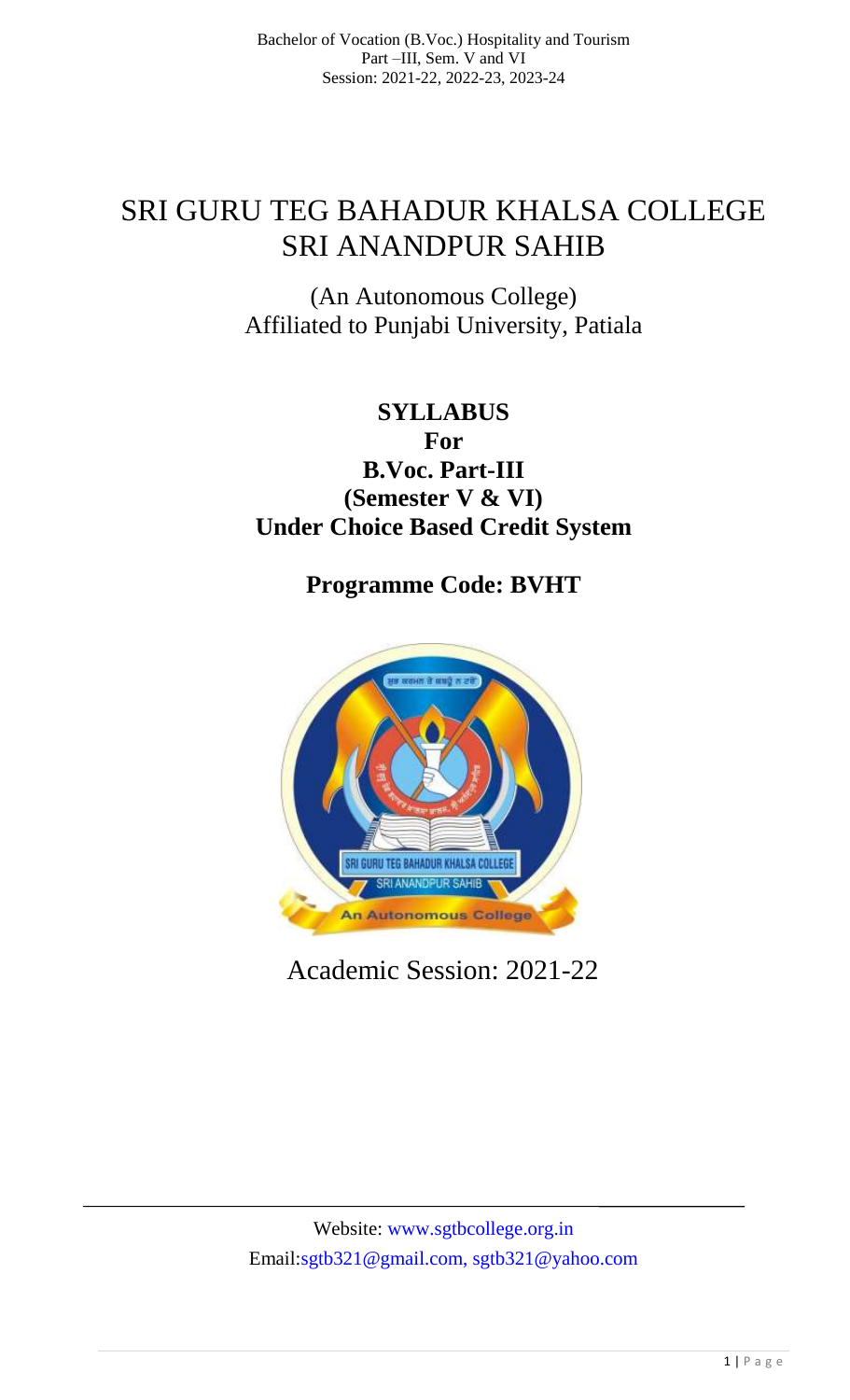# SRI GURU TEG BAHADUR KHALSA COLLEGE SRI ANANDPUR SAHIB

(An Autonomous College) Affiliated to Punjabi University, Patiala

# **SYLLABUS For B.Voc. Part-III (Semester V & VI) Under Choice Based Credit System**

**Programme Code: BVHT**



Academic Session: 2021-22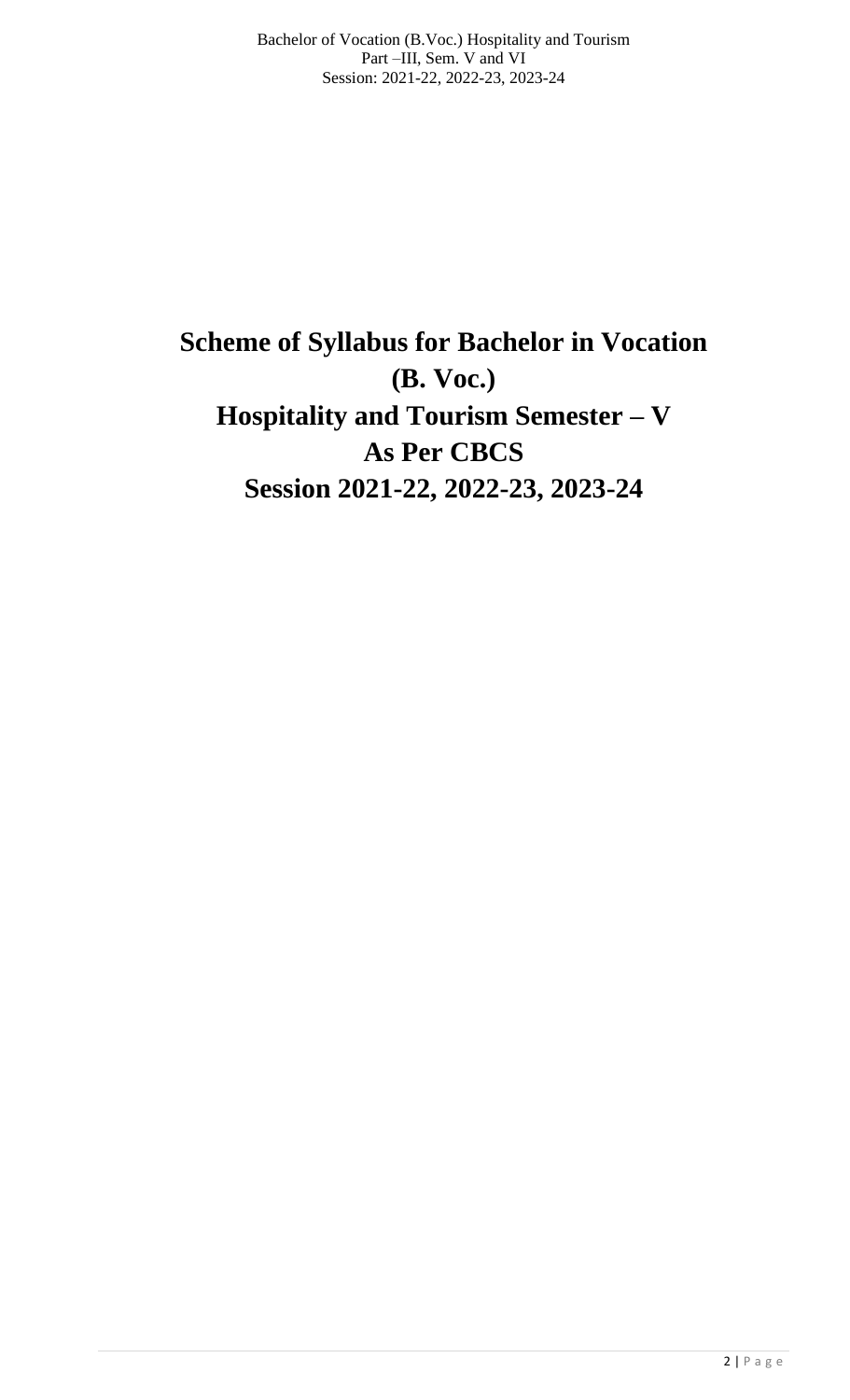# **Scheme of Syllabus for Bachelor in Vocation (B. Voc.) Hospitality and Tourism Semester – V As Per CBCS Session 2021-22, 2022-23, 2023-24**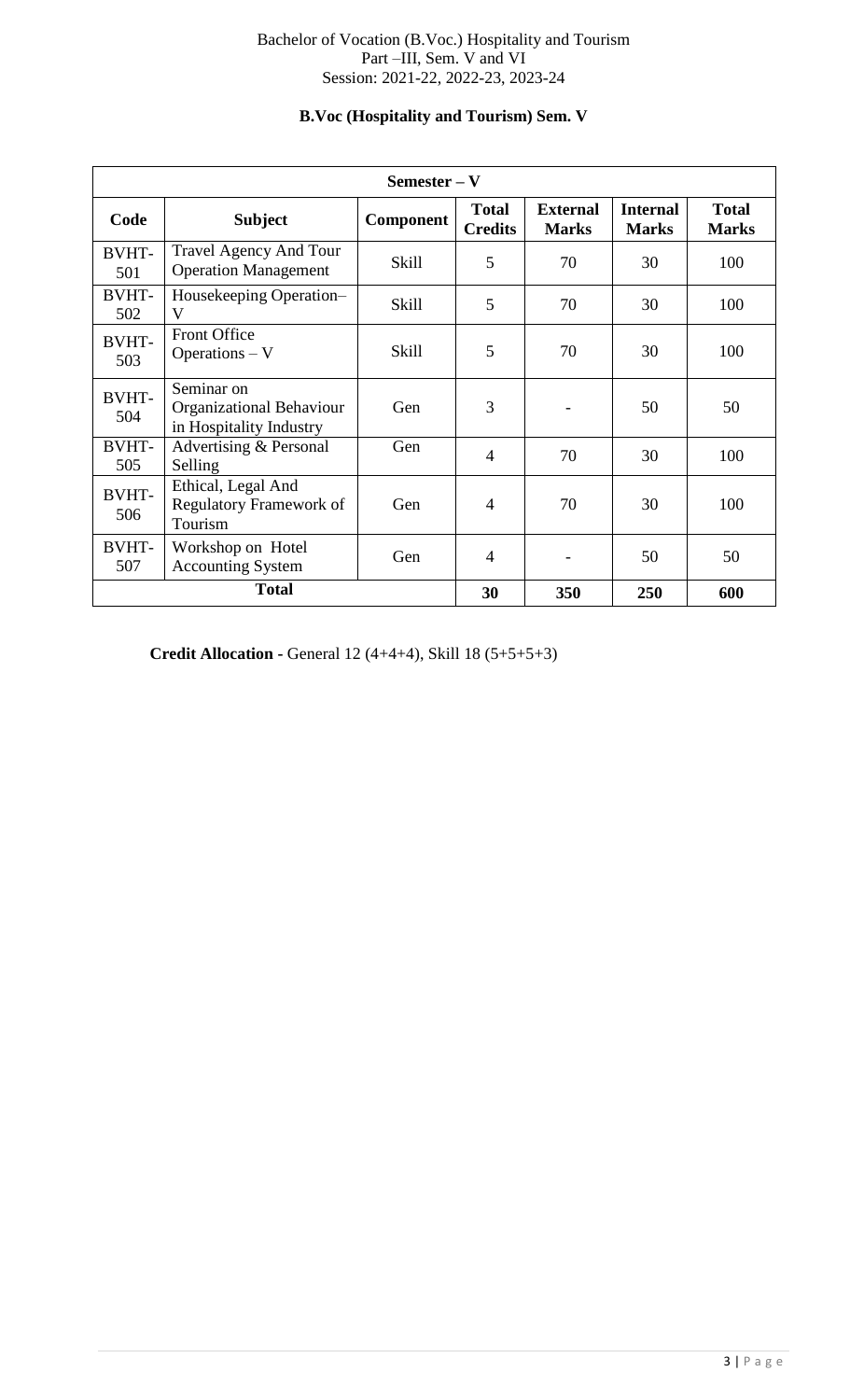# Bachelor of Vocation (B.Voc.) Hospitality and Tourism Part –III, Sem. V and VI Session: 2021-22, 2022-23, 2023-24

# **B.Voc (Hospitality and Tourism) Sem. V**

| $Semester - V$      |                                                                   |                  |                                |                                 |                                 |                              |  |  |
|---------------------|-------------------------------------------------------------------|------------------|--------------------------------|---------------------------------|---------------------------------|------------------------------|--|--|
| Code                | <b>Subject</b>                                                    | <b>Component</b> | <b>Total</b><br><b>Credits</b> | <b>External</b><br><b>Marks</b> | <b>Internal</b><br><b>Marks</b> | <b>Total</b><br><b>Marks</b> |  |  |
| <b>BVHT-</b><br>501 | <b>Travel Agency And Tour</b><br><b>Operation Management</b>      | <b>Skill</b>     | 5                              | 70                              | 30                              | 100                          |  |  |
| <b>BVHT-</b><br>502 | Housekeeping Operation-<br>V                                      | Skill            | 5                              | 70                              | 30                              | 100                          |  |  |
| BVHT-<br>503        | <b>Front Office</b><br>Operations - V                             | <b>Skill</b>     | 5                              | 70                              | 30                              | 100                          |  |  |
| <b>BVHT-</b><br>504 | Seminar on<br>Organizational Behaviour<br>in Hospitality Industry | Gen              | 3                              |                                 | 50                              | 50                           |  |  |
| <b>BVHT-</b><br>505 | Advertising & Personal<br>Selling                                 | Gen              | $\overline{4}$                 | 70                              | 30                              | 100                          |  |  |
| <b>BVHT-</b><br>506 | Ethical, Legal And<br><b>Regulatory Framework of</b><br>Tourism   | Gen              | $\overline{4}$                 | 70                              | 30                              | 100                          |  |  |
| <b>BVHT-</b><br>507 | Workshop on Hotel<br>Gen<br><b>Accounting System</b>              |                  | $\overline{4}$                 |                                 | 50                              | 50                           |  |  |
| <b>Total</b>        |                                                                   |                  | 30                             | 350                             | 250                             | 600                          |  |  |

**Credit Allocation -** General 12 (4+4+4), Skill 18 (5+5+5+3)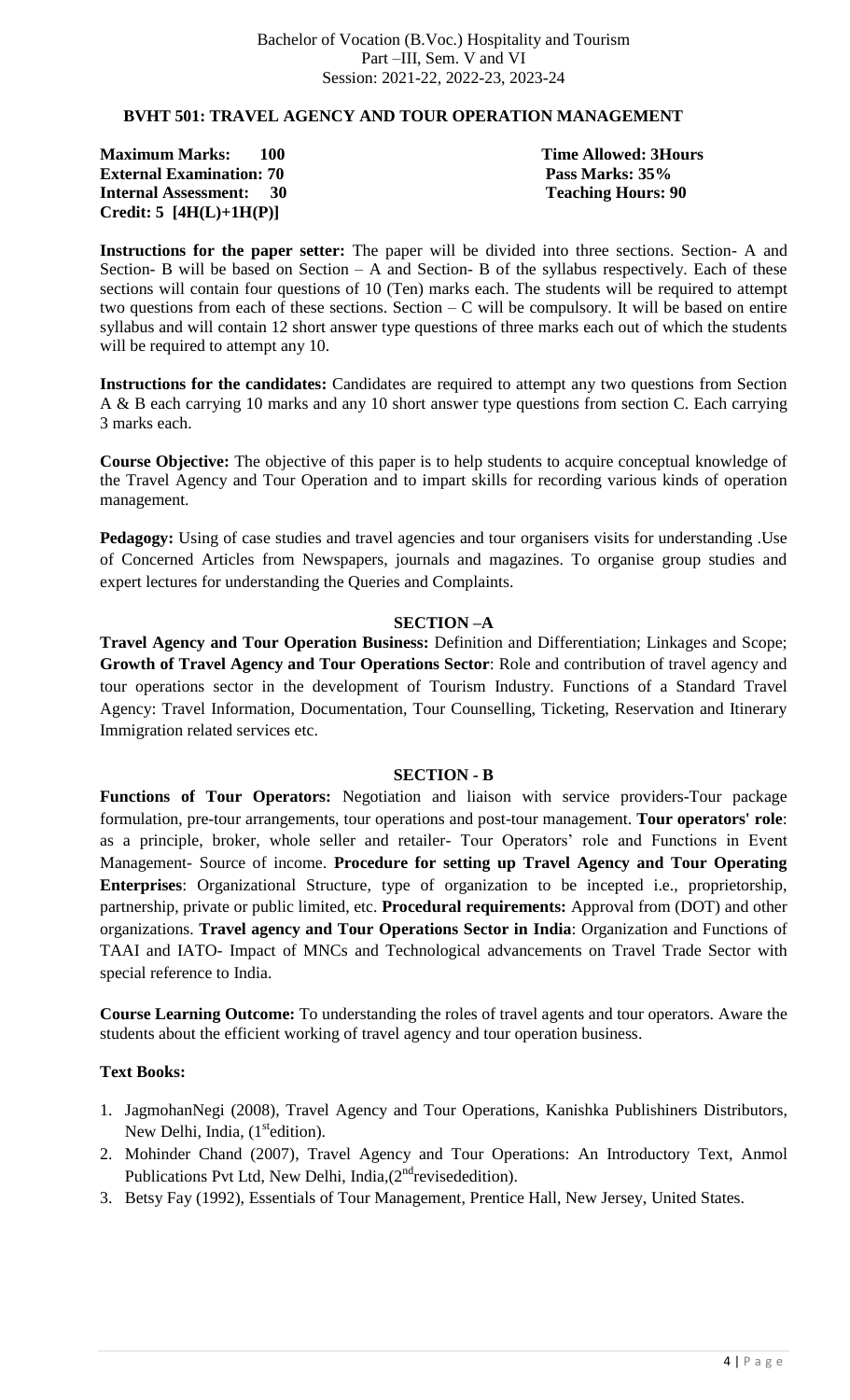#### **BVHT 501: TRAVEL AGENCY AND TOUR OPERATION MANAGEMENT**

**Maximum Marks: 100 Time Allowed: 3Hours External Examination: 70 Pass Marks: 35% Internal Assessment: 30 Teaching Hours: 90 Credit: 5 [4H(L)+1H(P)]** 

**Instructions for the paper setter:** The paper will be divided into three sections. Section- A and Section- B will be based on Section – A and Section- B of the syllabus respectively. Each of these sections will contain four questions of 10 (Ten) marks each. The students will be required to attempt two questions from each of these sections. Section  $-C$  will be compulsory. It will be based on entire syllabus and will contain 12 short answer type questions of three marks each out of which the students will be required to attempt any 10.

**Instructions for the candidates:** Candidates are required to attempt any two questions from Section A & B each carrying 10 marks and any 10 short answer type questions from section C. Each carrying 3 marks each.

**Course Objective:** The objective of this paper is to help students to acquire conceptual knowledge of the Travel Agency and Tour Operation and to impart skills for recording various kinds of operation management.

**Pedagogy:** Using of case studies and travel agencies and tour organisers visits for understanding .Use of Concerned Articles from Newspapers, journals and magazines. To organise group studies and expert lectures for understanding the Queries and Complaints.

#### **SECTION –A**

**Travel Agency and Tour Operation Business:** Definition and Differentiation; Linkages and Scope; **Growth of Travel Agency and Tour Operations Sector**: Role and contribution of travel agency and tour operations sector in the development of Tourism Industry. Functions of a Standard Travel Agency: Travel Information, Documentation, Tour Counselling, Ticketing, Reservation and Itinerary Immigration related services etc.

#### **SECTION - B**

**Functions of Tour Operators:** Negotiation and liaison with service providers-Tour package formulation, pre-tour arrangements, tour operations and post-tour management. **Tour operators' role**: as a principle, broker, whole seller and retailer- Tour Operators' role and Functions in Event Management- Source of income. **Procedure for setting up Travel Agency and Tour Operating Enterprises**: Organizational Structure, type of organization to be incepted i.e., proprietorship, partnership, private or public limited, etc. **Procedural requirements:** Approval from (DOT) and other organizations. **Travel agency and Tour Operations Sector in India**: Organization and Functions of TAAI and IATO- Impact of MNCs and Technological advancements on Travel Trade Sector with special reference to India.

**Course Learning Outcome:** To understanding the roles of travel agents and tour operators. Aware the students about the efficient working of travel agency and tour operation business.

- 1. JagmohanNegi (2008), Travel Agency and Tour Operations, Kanishka Publishiners Distributors, New Delhi, India, (1<sup>st</sup>edition).
- 2. Mohinder Chand (2007), Travel Agency and Tour Operations: An Introductory Text, Anmol Publications Pvt Ltd, New Delhi, India, (2<sup>nd</sup> revisededition).
- 3. Betsy Fay (1992), Essentials of Tour Management, Prentice Hall, New Jersey, United States.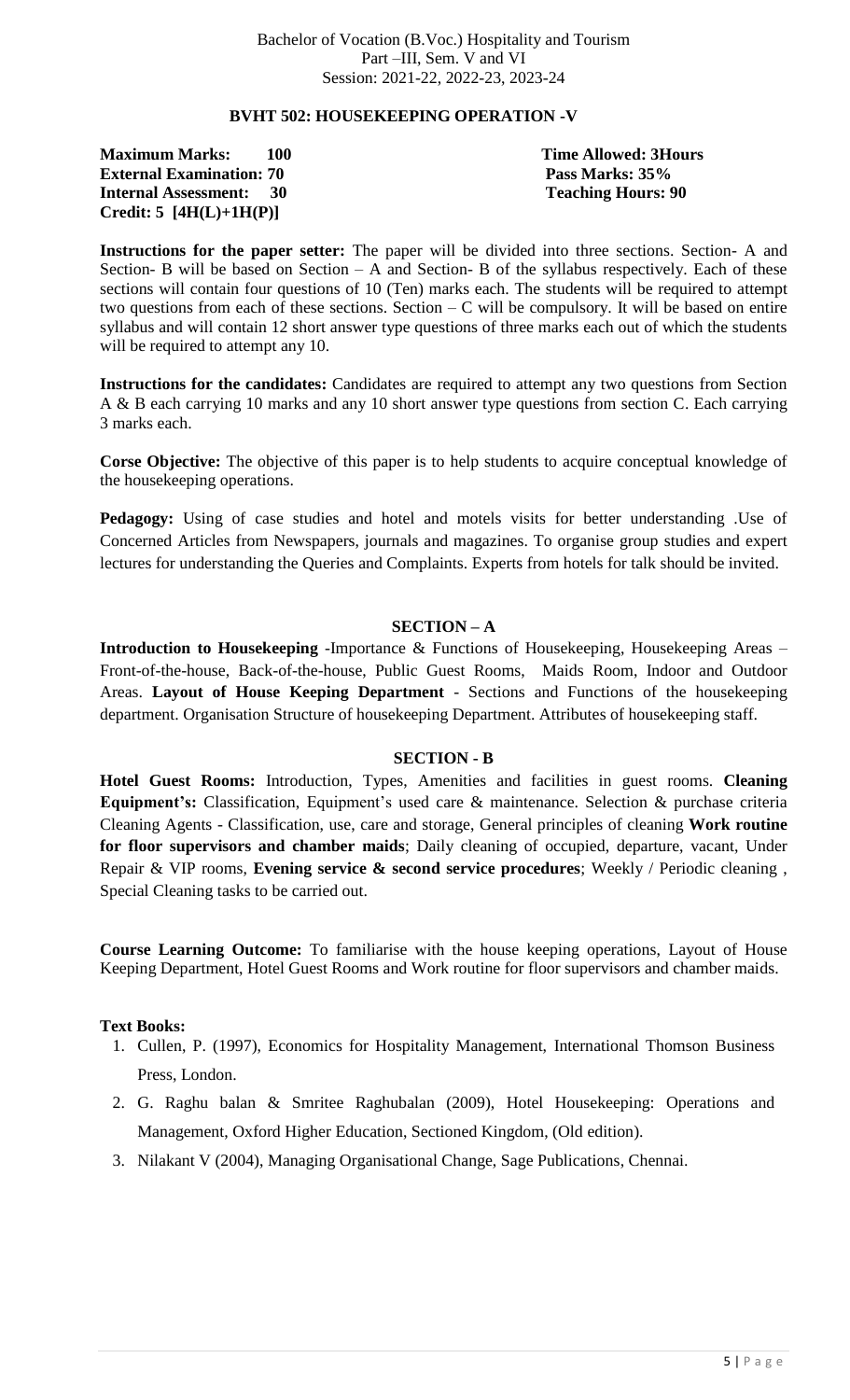# **BVHT 502: HOUSEKEEPING OPERATION -V**

**Maximum Marks: 100 Time Allowed: 3Hours External Examination: 70 Pass Marks: 35% Internal Assessment: 30 Teaching Hours: 90 Credit: 5 [4H(L)+1H(P)]** 

**Instructions for the paper setter:** The paper will be divided into three sections. Section- A and Section- B will be based on Section – A and Section- B of the syllabus respectively. Each of these sections will contain four questions of 10 (Ten) marks each. The students will be required to attempt two questions from each of these sections. Section – C will be compulsory. It will be based on entire syllabus and will contain 12 short answer type questions of three marks each out of which the students will be required to attempt any 10.

**Instructions for the candidates:** Candidates are required to attempt any two questions from Section A & B each carrying 10 marks and any 10 short answer type questions from section C. Each carrying 3 marks each.

**Corse Objective:** The objective of this paper is to help students to acquire conceptual knowledge of the housekeeping operations.

Pedagogy: Using of case studies and hotel and motels visits for better understanding .Use of Concerned Articles from Newspapers, journals and magazines. To organise group studies and expert lectures for understanding the Queries and Complaints. Experts from hotels for talk should be invited.

# **SECTION – A**

**Introduction to Housekeeping** -Importance & Functions of Housekeeping, Housekeeping Areas – Front-of-the-house, Back-of-the-house, Public Guest Rooms, Maids Room, Indoor and Outdoor Areas. **Layout of House Keeping Department** - Sections and Functions of the housekeeping department. Organisation Structure of housekeeping Department. Attributes of housekeeping staff.

#### **SECTION - B**

**Hotel Guest Rooms:** Introduction, Types, Amenities and facilities in guest rooms. **Cleaning Equipment's:** Classification, Equipment's used care & maintenance. Selection & purchase criteria Cleaning Agents - Classification, use, care and storage, General principles of cleaning **Work routine for floor supervisors and chamber maids**; Daily cleaning of occupied, departure, vacant, Under Repair & VIP rooms, **Evening service & second service procedures**; Weekly / Periodic cleaning , Special Cleaning tasks to be carried out.

**Course Learning Outcome:** To familiarise with the house keeping operations, Layout of House Keeping Department, Hotel Guest Rooms and Work routine for floor supervisors and chamber maids.

- 1. Cullen, P. (1997), Economics for Hospitality Management, International Thomson Business Press, London.
- 2. G. Raghu balan & Smritee Raghubalan (2009), Hotel Housekeeping: Operations and Management, Oxford Higher Education, Sectioned Kingdom, (Old edition).
- 3. Nilakant V (2004), Managing Organisational Change, Sage Publications, Chennai.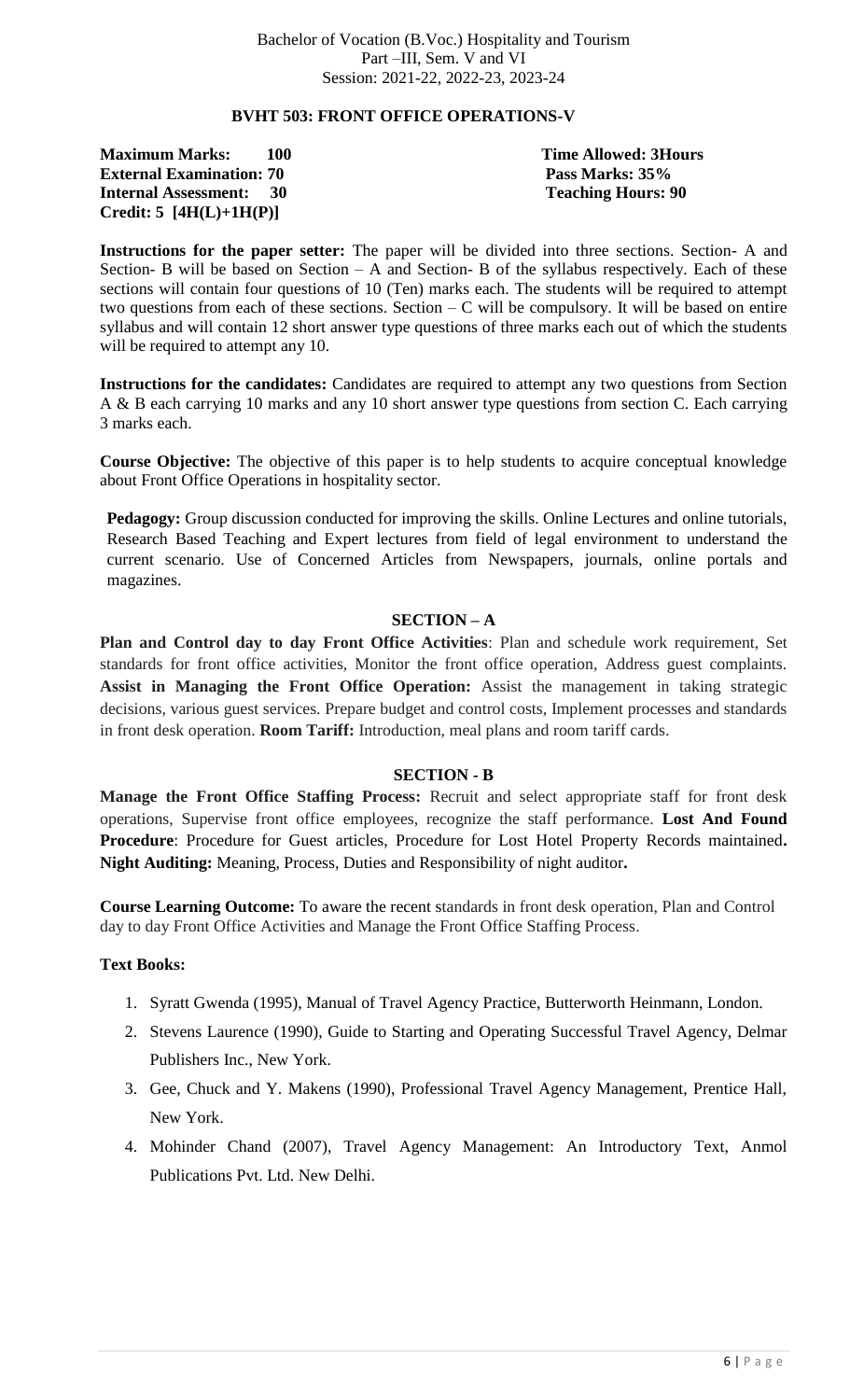# **BVHT 503: FRONT OFFICE OPERATIONS-V**

**Maximum Marks: 100 Time Allowed: 3Hours External Examination: 70 Pass Marks: 35% Internal Assessment: 30 Teaching Hours: 90 Credit: 5 [4H(L)+1H(P)]** 

**Instructions for the paper setter:** The paper will be divided into three sections. Section- A and Section- B will be based on Section – A and Section- B of the syllabus respectively. Each of these sections will contain four questions of 10 (Ten) marks each. The students will be required to attempt two questions from each of these sections. Section – C will be compulsory. It will be based on entire syllabus and will contain 12 short answer type questions of three marks each out of which the students will be required to attempt any 10.

**Instructions for the candidates:** Candidates are required to attempt any two questions from Section A & B each carrying 10 marks and any 10 short answer type questions from section C. Each carrying 3 marks each.

**Course Objective:** The objective of this paper is to help students to acquire conceptual knowledge about Front Office Operations in hospitality sector.

**Pedagogy:** Group discussion conducted for improving the skills. Online Lectures and online tutorials, Research Based Teaching and Expert lectures from field of legal environment to understand the current scenario. Use of Concerned Articles from Newspapers, journals, online portals and magazines.

#### **SECTION – A**

**Plan and Control day to day Front Office Activities**: Plan and schedule work requirement, Set standards for front office activities, Monitor the front office operation, Address guest complaints. **Assist in Managing the Front Office Operation:** Assist the management in taking strategic decisions, various guest services. Prepare budget and control costs, Implement processes and standards in front desk operation. **Room Tariff:** Introduction, meal plans and room tariff cards.

#### **SECTION - B**

**Manage the Front Office Staffing Process:** Recruit and select appropriate staff for front desk operations, Supervise front office employees, recognize the staff performance. **Lost And Found Procedure**: Procedure for Guest articles, Procedure for Lost Hotel Property Records maintained**. Night Auditing:** Meaning, Process, Duties and Responsibility of night auditor**.**

**Course Learning Outcome:** To aware the recent standards in front desk operation, Plan and Control day to day Front Office Activities and Manage the Front Office Staffing Process.

- 1. Syratt Gwenda (1995), Manual of Travel Agency Practice, Butterworth Heinmann, London.
- 2. Stevens Laurence (1990), Guide to Starting and Operating Successful Travel Agency, Delmar Publishers Inc., New York.
- 3. Gee, Chuck and Y. Makens (1990), Professional Travel Agency Management, Prentice Hall, New York.
- 4. Mohinder Chand (2007), Travel Agency Management: An Introductory Text, Anmol Publications Pvt. Ltd. New Delhi.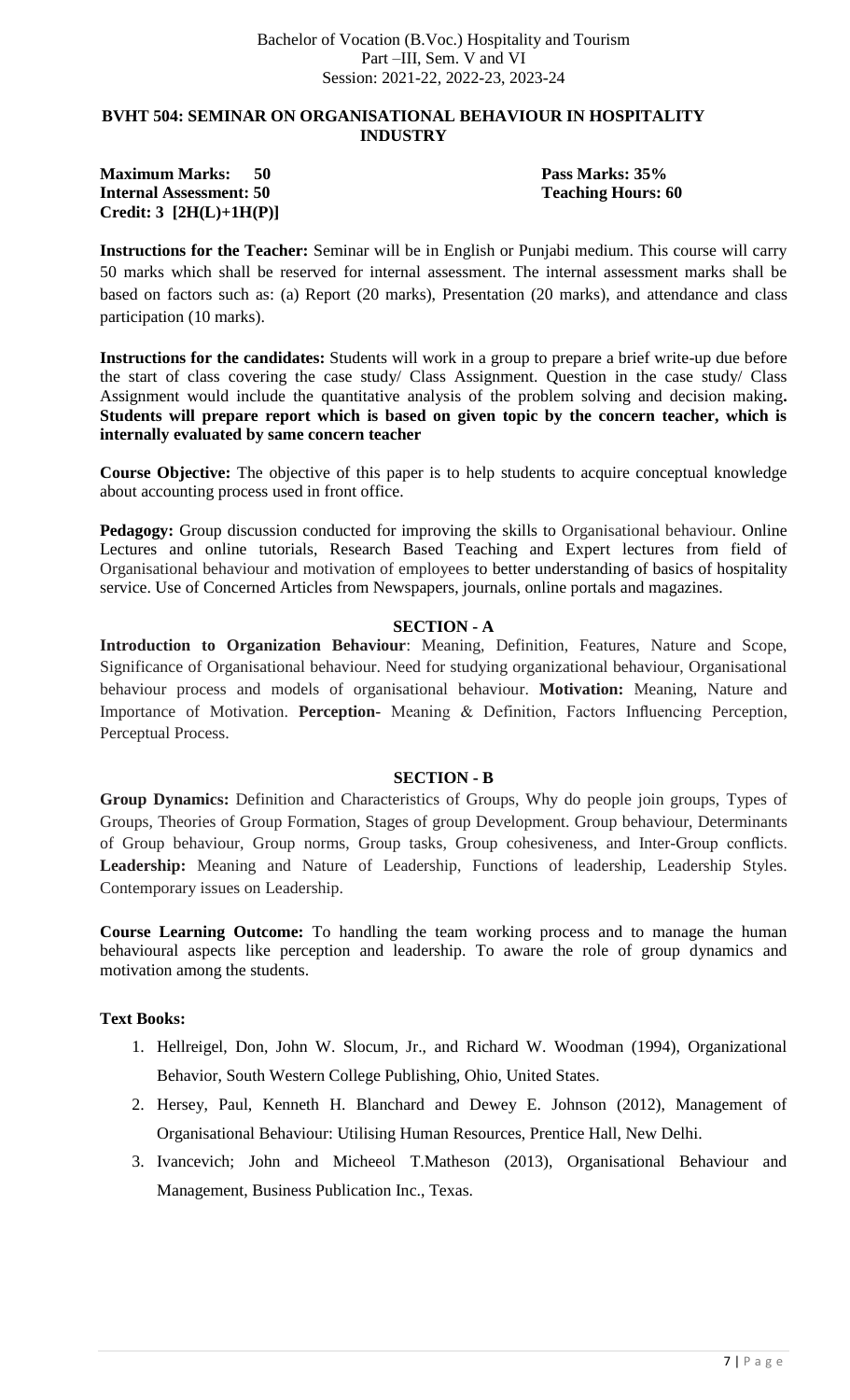# **BVHT 504: SEMINAR ON ORGANISATIONAL BEHAVIOUR IN HOSPITALITY INDUSTRY**

#### **Maximum Marks: 50 Pass Marks: 35% Internal Assessment: 50 Teaching Hours: 60 Credit: 3 [2H(L)+1H(P)]**

**Instructions for the Teacher:** Seminar will be in English or Punjabi medium. This course will carry 50 marks which shall be reserved for internal assessment. The internal assessment marks shall be based on factors such as: (a) Report (20 marks), Presentation (20 marks), and attendance and class participation (10 marks).

**Instructions for the candidates:** Students will work in a group to prepare a brief write-up due before the start of class covering the case study/ Class Assignment. Question in the case study/ Class Assignment would include the quantitative analysis of the problem solving and decision making**. Students will prepare report which is based on given topic by the concern teacher, which is internally evaluated by same concern teacher**

**Course Objective:** The objective of this paper is to help students to acquire conceptual knowledge about accounting process used in front office.

**Pedagogy:** Group discussion conducted for improving the skills to Organisational behaviour. Online Lectures and online tutorials, Research Based Teaching and Expert lectures from field of Organisational behaviour and motivation of employees to better understanding of basics of hospitality service. Use of Concerned Articles from Newspapers, journals, online portals and magazines.

# **SECTION - A**

**Introduction to Organization Behaviour**: Meaning, Definition, Features, Nature and Scope, Significance of Organisational behaviour. Need for studying organizational behaviour, Organisational behaviour process and models of organisational behaviour. **Motivation:** Meaning, Nature and Importance of Motivation. **Perception-** Meaning & Definition, Factors Influencing Perception, Perceptual Process.

#### **SECTION - B**

**Group Dynamics:** Definition and Characteristics of Groups, Why do people join groups, Types of Groups, Theories of Group Formation, Stages of group Development. Group behaviour, Determinants of Group behaviour, Group norms, Group tasks, Group cohesiveness, and Inter-Group conflicts. **Leadership:** Meaning and Nature of Leadership, Functions of leadership, Leadership Styles. Contemporary issues on Leadership.

**Course Learning Outcome:** To handling the team working process and to manage the human behavioural aspects like perception and leadership. To aware the role of group dynamics and motivation among the students.

- 1. Hellreigel, Don, John W. Slocum, Jr., and Richard W. Woodman (1994), Organizational Behavior, South Western College Publishing, Ohio, United States.
- 2. Hersey, Paul, Kenneth H. Blanchard and Dewey E. Johnson (2012), Management of Organisational Behaviour: Utilising Human Resources, Prentice Hall, New Delhi.
- 3. Ivancevich; John and Micheeol T.Matheson (2013), Organisational Behaviour and Management, Business Publication Inc., Texas.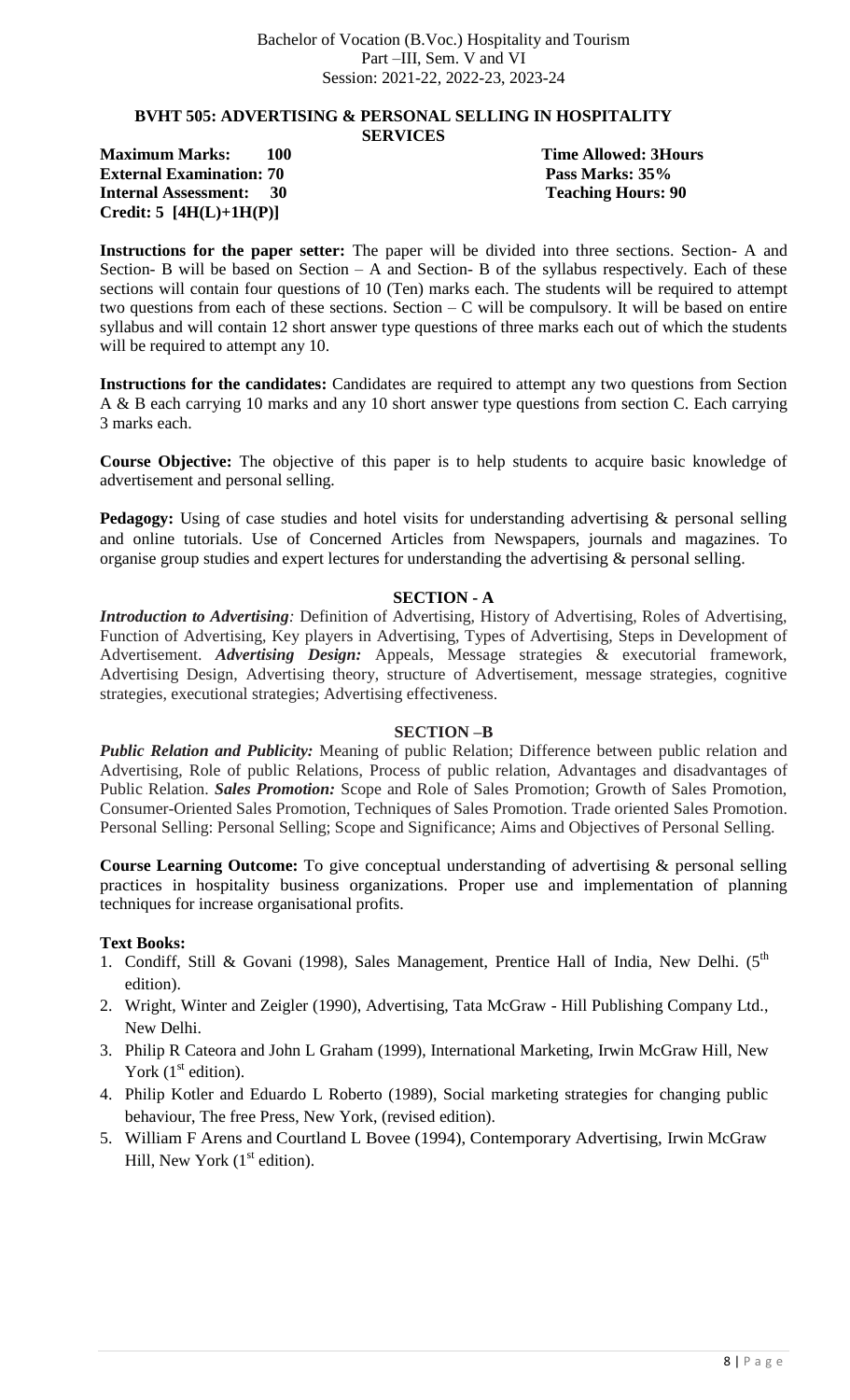#### **BVHT 505: ADVERTISING & PERSONAL SELLING IN HOSPITALITY SERVICES**

**Maximum Marks: 100 Time Allowed: 3Hours External Examination: 70 Pass Marks: 35% Internal Assessment: 30 Teaching Hours: 90 Credit: 5 [4H(L)+1H(P)]** 

**Instructions for the paper setter:** The paper will be divided into three sections. Section- A and Section- B will be based on Section – A and Section- B of the syllabus respectively. Each of these sections will contain four questions of 10 (Ten) marks each. The students will be required to attempt two questions from each of these sections. Section – C will be compulsory. It will be based on entire syllabus and will contain 12 short answer type questions of three marks each out of which the students will be required to attempt any 10.

**Instructions for the candidates:** Candidates are required to attempt any two questions from Section A & B each carrying 10 marks and any 10 short answer type questions from section C. Each carrying 3 marks each.

**Course Objective:** The objective of this paper is to help students to acquire basic knowledge of advertisement and personal selling.

**Pedagogy:** Using of case studies and hotel visits for understanding advertising & personal selling and online tutorials. Use of Concerned Articles from Newspapers, journals and magazines. To organise group studies and expert lectures for understanding the advertising & personal selling.

#### **SECTION - A**

*Introduction to Advertising:* Definition of Advertising, History of Advertising, Roles of Advertising, Function of Advertising, Key players in Advertising, Types of Advertising, Steps in Development of Advertisement. *Advertising Design:* Appeals, Message strategies & executorial framework, Advertising Design, Advertising theory, structure of Advertisement, message strategies, cognitive strategies, executional strategies; Advertising effectiveness.

#### **SECTION –B**

*Public Relation and Publicity:* Meaning of public Relation; Difference between public relation and Advertising, Role of public Relations, Process of public relation, Advantages and disadvantages of Public Relation. *Sales Promotion:* Scope and Role of Sales Promotion; Growth of Sales Promotion, Consumer-Oriented Sales Promotion, Techniques of Sales Promotion. Trade oriented Sales Promotion. Personal Selling: Personal Selling; Scope and Significance; Aims and Objectives of Personal Selling.

**Course Learning Outcome:** To give conceptual understanding of advertising & personal selling practices in hospitality business organizations. Proper use and implementation of planning techniques for increase organisational profits.

- 1. Condiff, Still & Govani (1998), Sales Management, Prentice Hall of India, New Delhi. ( $5<sup>th</sup>$ edition).
- 2. Wright, Winter and Zeigler (1990), Advertising, Tata McGraw Hill Publishing Company Ltd., New Delhi.
- 3. Philip R Cateora and John L Graham (1999), International Marketing, Irwin McGraw Hill, New York  $(1<sup>st</sup>$  edition).
- 4. Philip Kotler and Eduardo L Roberto (1989), Social marketing strategies for changing public behaviour, The free Press, New York, (revised edition).
- 5. William F Arens and Courtland L Bovee (1994), Contemporary Advertising, Irwin McGraw Hill, New York  $(1<sup>st</sup> edition).$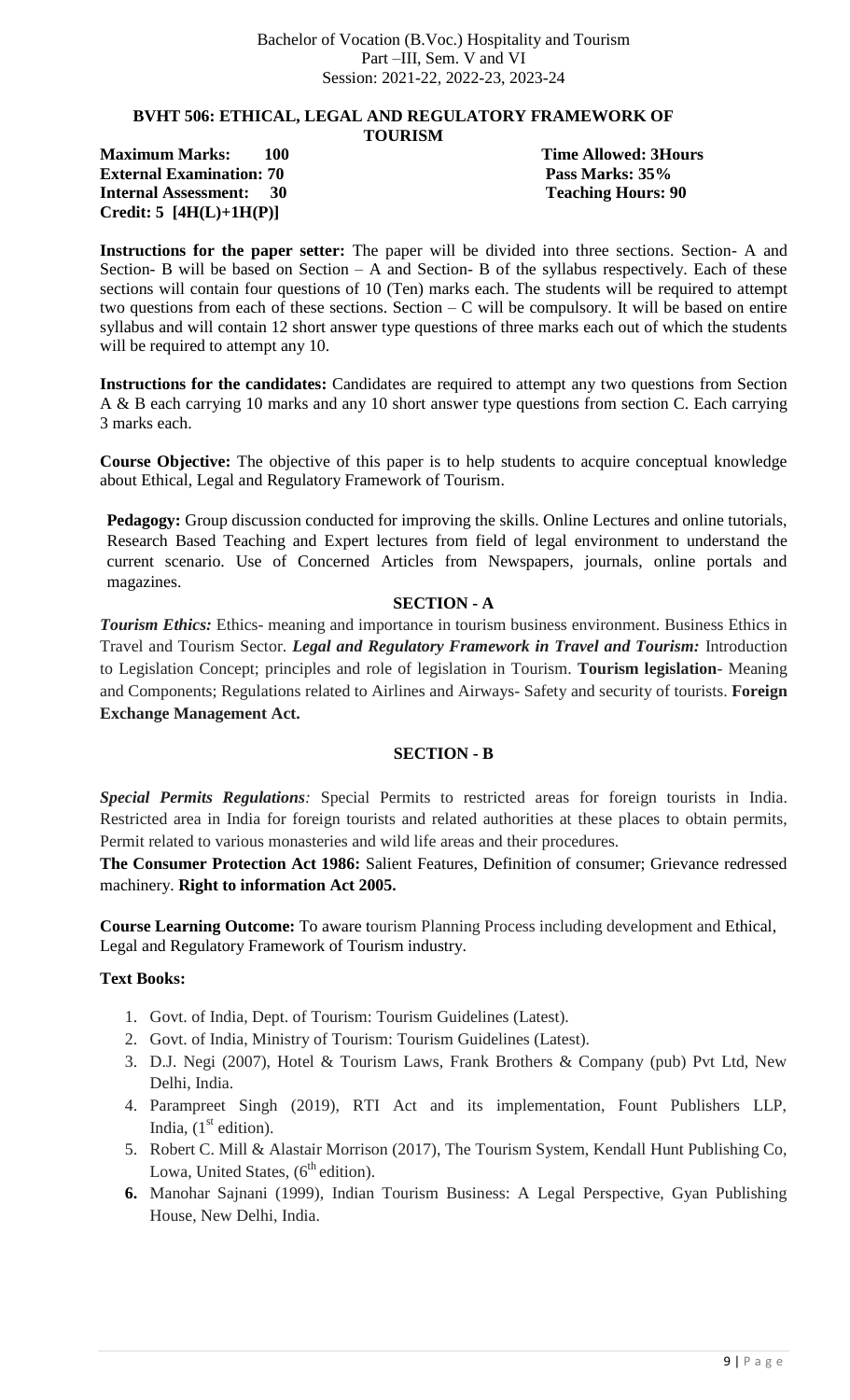#### **BVHT 506: ETHICAL, LEGAL AND REGULATORY FRAMEWORK OF TOURISM**

**Maximum Marks: 100 Time Allowed: 3Hours External Examination: 70 Pass Marks: 35% Internal Assessment: 30 Teaching Hours: 90 Credit: 5 [4H(L)+1H(P)]** 

**Instructions for the paper setter:** The paper will be divided into three sections. Section- A and Section- B will be based on Section – A and Section- B of the syllabus respectively. Each of these sections will contain four questions of 10 (Ten) marks each. The students will be required to attempt two questions from each of these sections. Section – C will be compulsory. It will be based on entire syllabus and will contain 12 short answer type questions of three marks each out of which the students will be required to attempt any 10.

**Instructions for the candidates:** Candidates are required to attempt any two questions from Section A & B each carrying 10 marks and any 10 short answer type questions from section C. Each carrying 3 marks each.

**Course Objective:** The objective of this paper is to help students to acquire conceptual knowledge about Ethical, Legal and Regulatory Framework of Tourism.

**Pedagogy:** Group discussion conducted for improving the skills. Online Lectures and online tutorials, Research Based Teaching and Expert lectures from field of legal environment to understand the current scenario. Use of Concerned Articles from Newspapers, journals, online portals and magazines.

# **SECTION - A**

*Tourism Ethics:* Ethics- meaning and importance in tourism business environment. Business Ethics in Travel and Tourism Sector. *Legal and Regulatory Framework in Travel and Tourism:* Introduction to Legislation Concept; principles and role of legislation in Tourism. **Tourism legislation**- Meaning and Components; Regulations related to Airlines and Airways- Safety and security of tourists. **Foreign Exchange Management Act.**

# **SECTION - B**

*Special Permits Regulations:* Special Permits to restricted areas for foreign tourists in India. Restricted area in India for foreign tourists and related authorities at these places to obtain permits, Permit related to various monasteries and wild life areas and their procedures.

**The Consumer Protection Act 1986:** Salient Features, Definition of consumer; Grievance redressed machinery. **Right to information Act 2005.**

**Course Learning Outcome:** To aware tourism Planning Process including development and Ethical, Legal and Regulatory Framework of Tourism industry.

- 1. Govt. of India, Dept. of Tourism: Tourism Guidelines (Latest).
- 2. Govt. of India, Ministry of Tourism: Tourism Guidelines (Latest).
- 3. D.J. Negi (2007), Hotel & Tourism Laws, Frank Brothers & Company (pub) Pvt Ltd, New Delhi, India.
- 4. Parampreet Singh (2019), RTI Act and its implementation, Fount Publishers LLP, India,  $(1<sup>st</sup>$  edition).
- 5. Robert C. Mill & Alastair Morrison (2017), The Tourism System, Kendall Hunt Publishing Co, Lowa, United States,  $(6^{th}$  edition).
- **6.** Manohar Sajnani (1999), Indian Tourism Business: A Legal Perspective, Gyan Publishing House, New Delhi, India.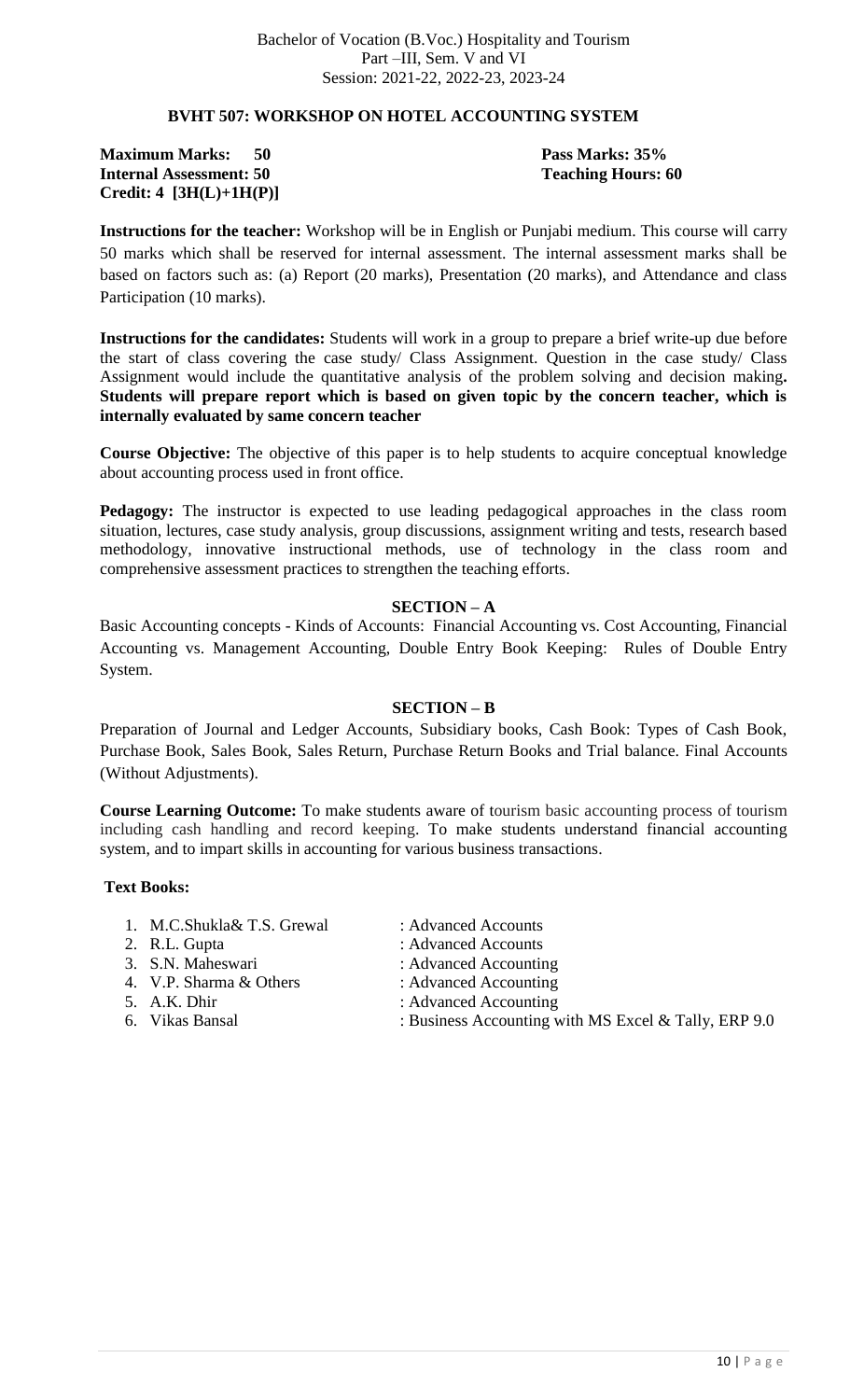### **BVHT 507: WORKSHOP ON HOTEL ACCOUNTING SYSTEM**

**Maximum Marks: 50 September 2018** Pass Marks: 35% **Internal Assessment: 50 Teaching Hours: 60 Credit: 4 [3H(L)+1H(P)]** 

**Instructions for the teacher:** Workshop will be in English or Punjabi medium. This course will carry 50 marks which shall be reserved for internal assessment. The internal assessment marks shall be based on factors such as: (a) Report (20 marks), Presentation (20 marks), and Attendance and class Participation (10 marks).

**Instructions for the candidates:** Students will work in a group to prepare a brief write-up due before the start of class covering the case study/ Class Assignment. Question in the case study/ Class Assignment would include the quantitative analysis of the problem solving and decision making**. Students will prepare report which is based on given topic by the concern teacher, which is internally evaluated by same concern teacher**

**Course Objective:** The objective of this paper is to help students to acquire conceptual knowledge about accounting process used in front office.

**Pedagogy:** The instructor is expected to use leading pedagogical approaches in the class room situation, lectures, case study analysis, group discussions, assignment writing and tests, research based methodology, innovative instructional methods, use of technology in the class room and comprehensive assessment practices to strengthen the teaching efforts.

#### **SECTION – A**

Basic Accounting concepts - Kinds of Accounts: Financial Accounting vs. Cost Accounting, Financial Accounting vs. Management Accounting, Double Entry Book Keeping: Rules of Double Entry System.

#### **SECTION – B**

Preparation of Journal and Ledger Accounts, Subsidiary books, Cash Book: Types of Cash Book, Purchase Book, Sales Book, Sales Return, Purchase Return Books and Trial balance. Final Accounts (Without Adjustments).

**Course Learning Outcome:** To make students aware of tourism basic accounting process of tourism including cash handling and record keeping. To make students understand financial accounting system, and to impart skills in accounting for various business transactions.

#### **Text Books:**

1. M.C.Shukla& T.S. Grewal : Advanced Accounts 2. R.L. Gupta : Advanced Accounts<br>
3. S.N. Maheswari : Advanced Accountir : Advanced Accounting 4. V.P. Sharma & Others : Advanced Accounting 5. A.K. Dhir : Advanced Accounting<br>6. Vikas Bansal : Business Accounting w  $\therefore$  Business Accounting with MS Excel & Tally, ERP 9.0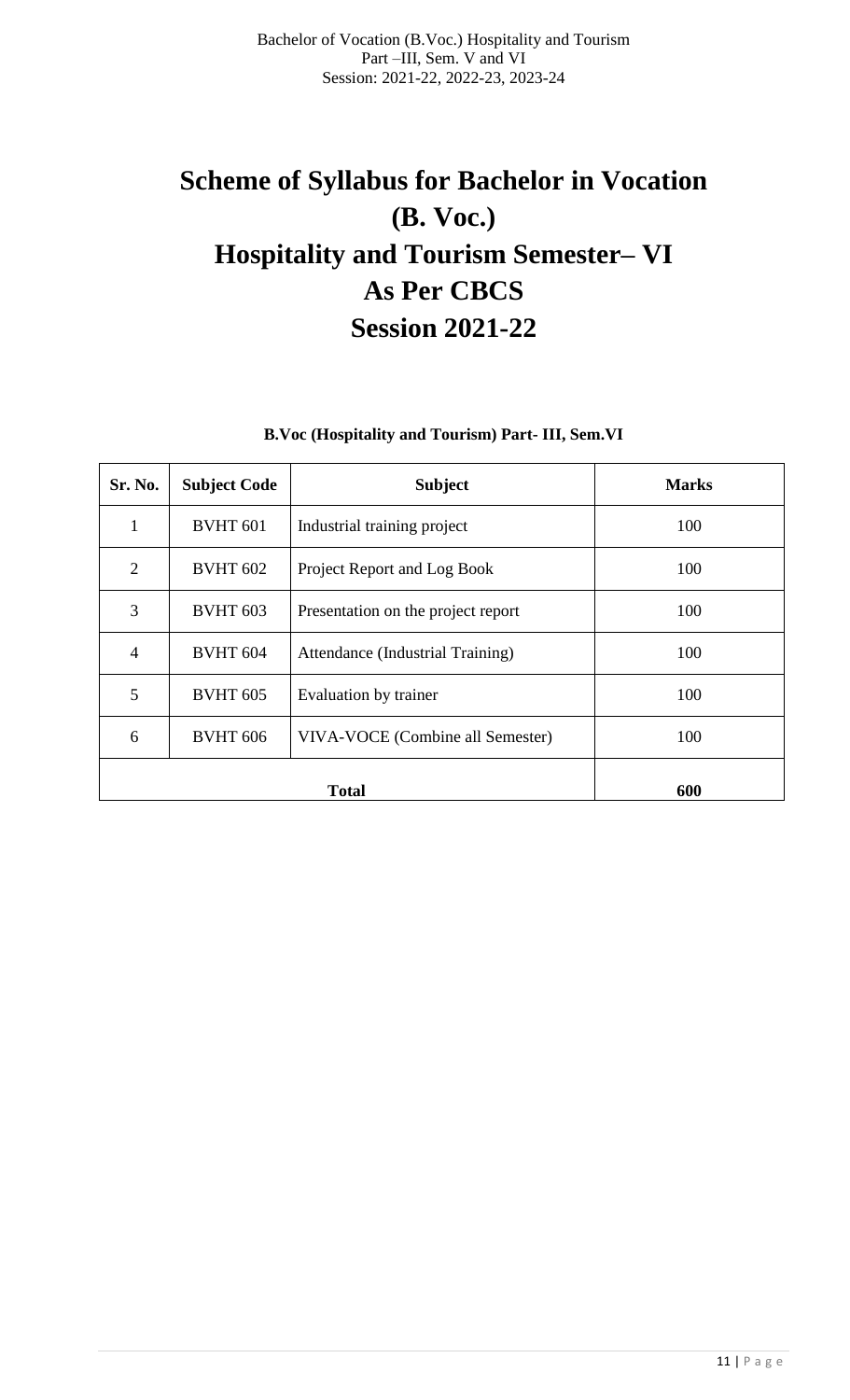# **Scheme of Syllabus for Bachelor in Vocation (B. Voc.) Hospitality and Tourism Semester– VI As Per CBCS Session 2021-22**

# **B.Voc (Hospitality and Tourism) Part- III, Sem.VI**

| Sr. No.        | <b>Subject Code</b> | <b>Subject</b>                     | <b>Marks</b> |
|----------------|---------------------|------------------------------------|--------------|
|                | <b>BVHT 601</b>     | Industrial training project        | 100          |
| 2              | <b>BVHT 602</b>     | Project Report and Log Book        | 100          |
| 3              | <b>BVHT 603</b>     | Presentation on the project report | 100          |
| $\overline{4}$ | <b>BVHT 604</b>     | Attendance (Industrial Training)   | 100          |
| 5              | <b>BVHT 605</b>     | Evaluation by trainer              | 100          |
| 6              | <b>BVHT 606</b>     | VIVA-VOCE (Combine all Semester)   | 100          |
|                |                     | 600                                |              |